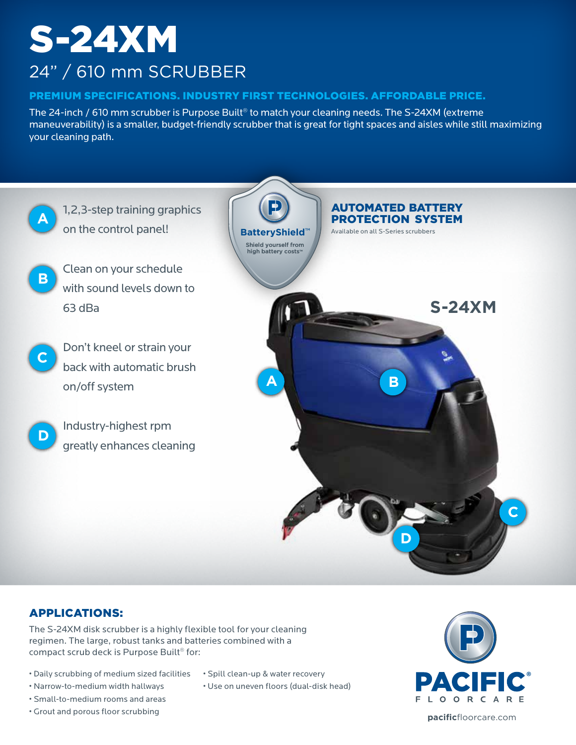# S-24XM 24" / 610 mm SCRUBBER

### PREMIUM SPECIFICATIONS. INDUSTRY FIRST TECHNOLOGIES. AFFORDABLE PRICE.

The 24-inch / 610 mm scrubber is Purpose Built® to match your cleaning needs. The S-24XM (extreme maneuverability) is a smaller, budget-friendly scrubber that is great for tight spaces and aisles while still maximizing your cleaning path.



## APPLICATIONS:

The S-24XM disk scrubber is a highly flexible tool for your cleaning regimen. The large, robust tanks and batteries combined with a compact scrub deck is Purpose Built® for:

- Daily scrubbing of medium sized facilities
- Narrow-to-medium width hallways
- Small-to-medium rooms and areas
- Grout and porous floor scrubbing
- Spill clean-up & water recovery
- Use on uneven floors (dual-disk head)



**pacific**floorcare.com